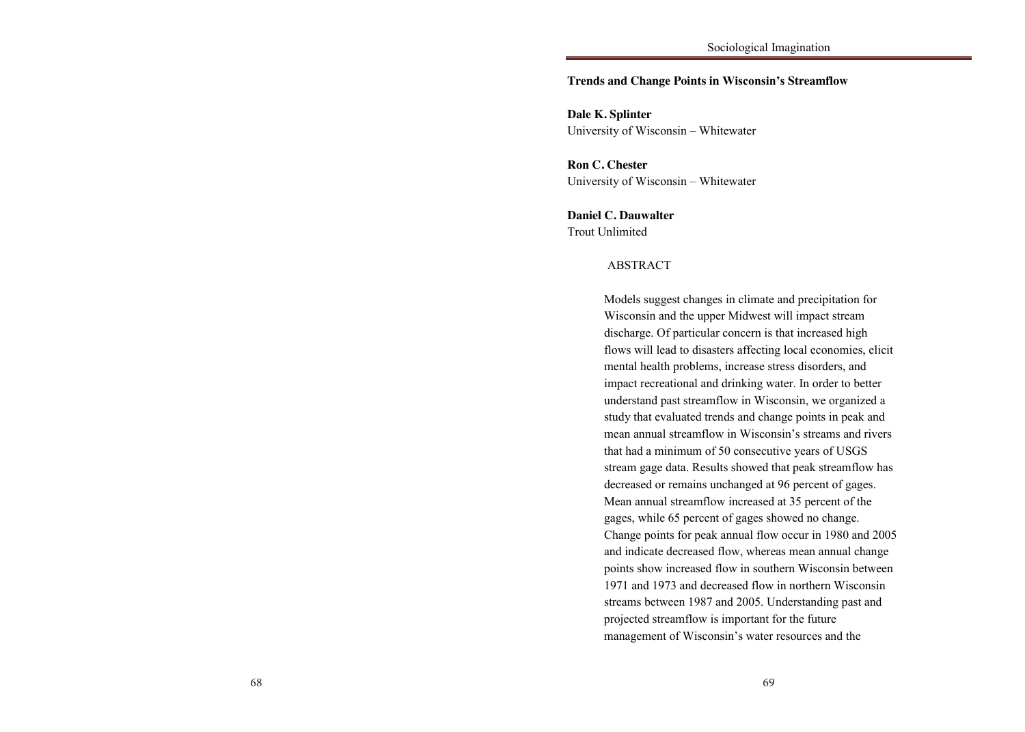#### the household, and number of consumer goods are related to **Trends and Change Points in Wisconsin's Streamflow**

University of Wisconsin – Whitewater **Dale K. Splinter**

**Ron C. Chester** University of Wisconsin – Whitewater

Seekings 2008). Laws such as the Native Laws Amendments Act of 1937 **Daniel C. Dauwalter** Trout Unlimited

in the control of the control of the control of the control of the control of the control of the control of the control of the control of the control of the control of the control of the control of the control of the contr

#### $\Lambda$  DCTD  $\Lambda$  CT Africans, Coloureds, and Indians to live in separate townships on the outskirts of ABSTRACT

cities. Servants were the only Africans allowed to live in the city, which had allowed to live in the city, which had a server of  $\alpha$ process and generations and in many cases of the distruction of the distruction of the distrustion of the distrustion of the distrustion of the distrustion of the distrustion of the distrustion of the distrustion of the di  $\frac{1}{2}$  for  $\frac{1}{2}$   $\frac{1}{2}$   $\frac{1}{2}$   $\frac{1}{2}$   $\frac{1}{2}$   $\frac{1}{2}$   $\frac{1}{2}$   $\frac{1}{2}$   $\frac{1}{2}$   $\frac{1}{2}$   $\frac{1}{2}$   $\frac{1}{2}$   $\frac{1}{2}$   $\frac{1}{2}$   $\frac{1}{2}$   $\frac{1}{2}$   $\frac{1}{2}$   $\frac{1}{2}$   $\frac{1}{2}$   $\frac{1}{2}$   $\frac{1}{2$ discharge. Of particular concern is that increased high flows will lead to disasters affecting local economies, elicit mental health problems, increase stress disorders, and impact recreational and drinking water. In order to better understand past streamflow in Wisconsin, we organized a study that evaluated trends and change points in peak and mean annual streamflow in Wisconsin's streams and rivers that had a minimum of 50 consecutive years of USGS stream gage data. Results showed that peak streamflow has decreased or remains unchanged at 96 percent of gages. Mean annual streamflow increased at 35 percent of the gages, while 65 percent of gages showed no change. Change points for peak annual flow occur in 1980 and 2005 and indicate decreased flow, whereas mean annual change points show increased flow in southern Wisconsin between 1971 and 1973 and decreased flow in northern Wisconsin streams between 1987 and 2005. Understanding past and projected streamflow is important for the future  $\frac{1}{1}$  extreme discrimination,  $\frac{1}{1}$  is dependent of Wisconsin's water resources and the  $\overline{C}$ Models suggest changes in climate and precipitation for Wisconsin and the upper Midwest will impact stream management of Wisconsin's water resources and the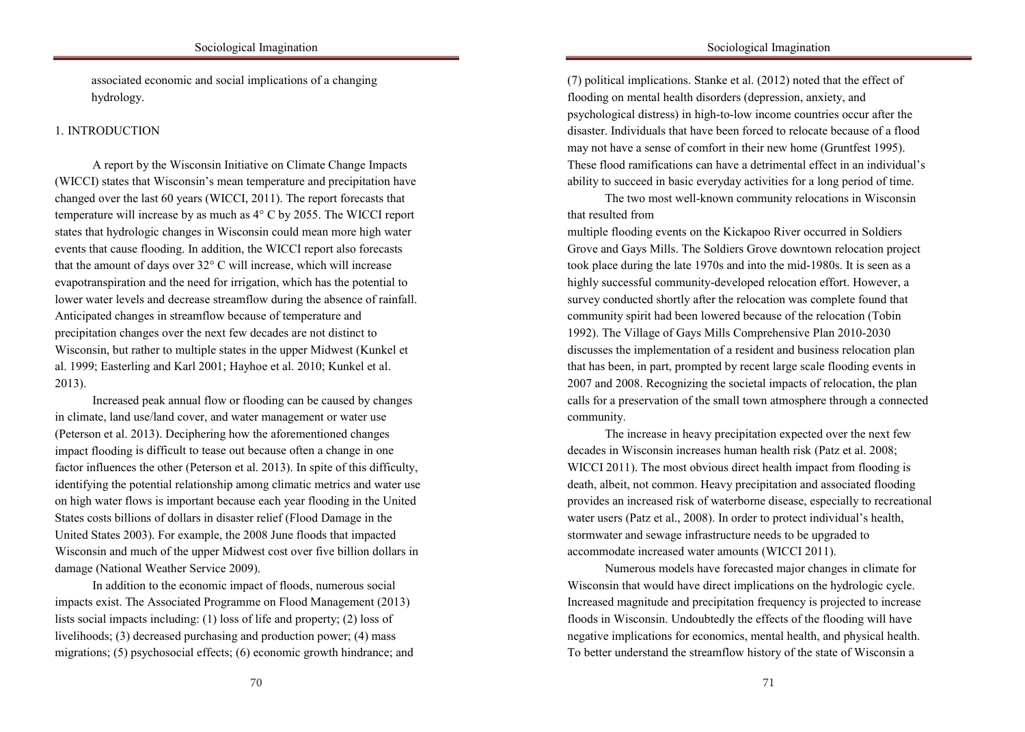associated economic and social implications of a changing hydrology.

# 1. INTRODUCTION

A report by the Wisconsin Initiative on Climate Change Impacts (WICCI) states that Wisconsin's mean temperature and precipitation have changed over the last 60 years (WICCI, 2011). The report forecasts that temperature will increase by as much as  $4^{\circ}$  C by 2055. The WICCI report states that hydrologic changes in Wisconsin could mean more high water events that cause flooding. In addition, the WICCI report also forecasts that the amount of days over  $32^{\circ}$  C will increase, which will increase evapotranspiration and the need for irrigation, which has the potential to  $\alpha$  and  $\alpha$  are the only African such that  $\alpha$  and  $\alpha$  is the city in the city, which had allowed to live in the city,  $\alpha$ profound effect on generations and in many cases,  $\alpha$  and  $\alpha$  the dispute of fundamental  $\alpha$ Anticipated changes in streamflow because of temperature and procipitation changes over the next few decades are not distinct to Wisconsin, but rather to multiple states in the upper Midwest (Kunkel et al. 1999; Easterling and Karl 2001; Hayhoe et al. 2010; Kunkel et al.  $\omega$ (13). lower water levels and decrease streamflow during the absence of rainfall. precipitation changes over the next few decades are not distinct to 2013).

Increased peak annual flow or flooding can be caused by changes in climate, land use/land cover, and water management or water use (Peterson et al. 2013). Deciphering how the aforementioned changes impact flooding is difficult to tease out because often a change in one factor influences the other (Peterson et al. 2013). In spite of this difficulty, identifying the potential relationship among climatic metrics and water use on high water flows is important because each year flooding in the United States costs billions of dollars in disaster relief (Flood Damage in the United States 2003). For example, the 2008 June floods that impacted Wisconsin and much of the upper Midwest cost over five billion dollars in damage (National Weather Service 2009).

In addition to the economic impact of floods, numerous social impacts exist. The Associated Programme on Flood Management (2013) lists social impacts including: (1) loss of life and property; (2) loss of livelihoods; (3) decreased purchasing and production power; (4) mass migrations; (5) psychosocial effects; (6) economic growth hindrance; and

Sociological Imagination

 $(7)$  political implications. Stanke et al.  $(2012)$  noted that the effect of flooding on mental health disorders (depression, anxiety, and disaster. Individuals that have been forced to relocate because of a flood may not have a sense of comfort in their new home (Gruntfest 1995). These flood ramifications can have a detrimental effect in an individual's ability to succeed in basic everyday activities for a long period of time. in the control of the control of the control of the control of the control of the control of the control of the control of the control of the control of the control of the control of the control of the control of the contr psychological distress) in high-to-low income countries occur after the

The two most well-known community relocations in Wisconsin that resulted from the Native Laws Amendments American Act of 1937 and 1937 and 1937 and 1937 and 1937 and 1937 and 1937 and 1937 and 1937 and 1937 and 1937 and 1937 and 1937 and 1937 and 1937 and 1937 and 1937 and 1937 an

multiple flooding events on the Kickapoo River occurred in Soldiers Grove and Gays Mills. The Soldiers Grove downtown relocation project took place during the late  $1970s$  and into the mid-1980s. It is seen as a highly successful community-developed relocation effort. However, a corresponds to community were the only according to live  $\alpha$ , which has a city in the city of  $\alpha$ party conducted biority after the relocation was complete found that  $\frac{1}{2}$ community spirit had been lowered because of the relocation (Tobin<br>1996; Kellett, Mothwa 1996; Kellett, Mothwa 2019, 2020; 1992). The Village of Gays Mills Comprehensive Plan 2010-2030 discusses the implementation of a resident and business relocation plan that has been, in part, prompted by recent large scale flooding events in 2007 and 2008. Recognizing the societal impacts of relocation, the plan calls for a preservation of the small town atmosphere through a connected  $1994$  community. survey conducted shortly after the relocation was complete found that community.

The increase in heavy precipitation expected over the next few decades in Wisconsin increases human health risk (Patz et al. 2008; WICCI 2011). The most obvious direct health impact from flooding is death, albeit, not common. Heavy precipitation and associated flooding provides an increased risk of waterborne disease, especially to recreational water users (Patz et al., 2008). In order to protect individual's health, stormwater and sewage infrastructure needs to be upgraded to accommodate increased water amounts (WICCI 2011).

Numerous models have forecasted major changes in climate for Wisconsin that would have direct implications on the hydrologic cycle. Increased magnitude and precipitation frequency is projected to increase floods in Wisconsin. Undoubtedly the effects of the flooding will have negative implications for economics, mental health, and physical health. To better understand the streamflow history of the state of Wisconsin a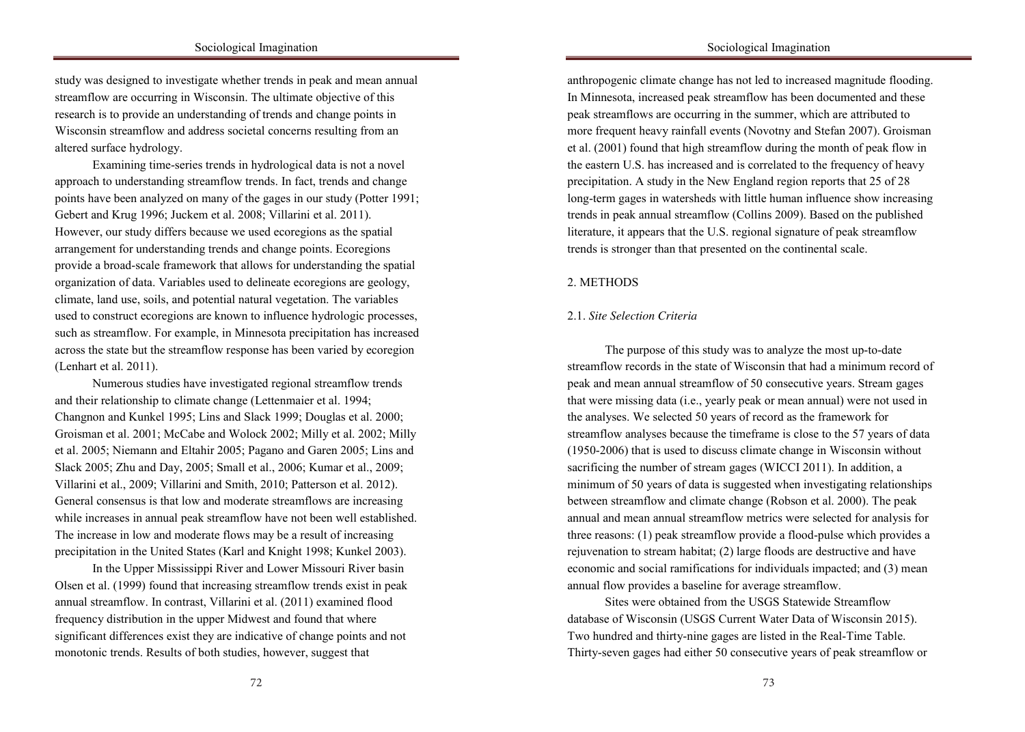study was designed to investigate whether trends in peak and mean annual streamflow are occurring in Wisconsin. The ultimate objective of this Wisconsin streamflow and address societal concerns resulting from an altered surface hydrology. A particular was an extreme in South Africa was an extreme in South Africa was an extreme in South Africa was an extreme in South Africa was an extreme in South Africa was an extreme in South Afr research is to provide an understanding of trends and change points in

in the control of the control of the control of the control of the control of the control of the control of the control of the control of the control of the control of the control of the control of the control of the contr

Examining time-series trends in hydrological data is not a novel approach to understanding streamflow trends. In fact, trends and change points have been analyzed on many of the gages in our study (Potter 1991; Gebert and Krug 1996; Juckem et al. 2008; Villarini et al. 2011). However, our study differs because we used ecoregions as the spatial arrangement for understanding trends and change points. Ecoregions provide a broad-scale framework that allows for understanding the spatial Africans, Coloureds, and Indians to live in separate townships on the outskirts of organization of data. Variables used to delineate ecoregions are geology,  $\frac{1}{\sqrt{2}}$  served to live in the only Africans allowed to define the correspondence  $\frac{1}{\sqrt{2}}$ , which had a allowed to live in the city, which had a served to live in the city, which had a served to live in the city,  $p_{\text{max}}$ , and abe, bond, and potential natural vegetation. The variables  $\frac{d}{dx}$  family structures (Burman and van der Spur 1996; Motorstein  $\frac{d}{dx}$ such as streamflow. For example, in Minnesota precipitation has increased across the state but the streamflow response has been varied by ecoregion  $(Lenhart et al. 2011).$ climate, land use, soils, and potential natural vegetation. The variables used to construct ecoregions are known to influence hydrologic processes,

Numerous studies have investigated regional streamflow trends and their relationship to climate change (Lettenmaier et al. 1994; Changnon and Kunkel 1995; Lins and Slack 1999; Douglas et al. 2000; Groisman et al. 2001; McCabe and Wolock 2002; Milly et al. 2002; Milly et al. 2005; Niemann and Eltahir 2005; Pagano and Garen 2005; Lins and Slack 2005; Zhu and Day, 2005; Small et al., 2006; Kumar et al., 2009; Villarini et al., 2009; Villarini and Smith, 2010; Patterson et al. 2012). General consensus is that low and moderate streamflows are increasing while increases in annual peak streamflow have not been well established. The increase in low and moderate flows may be a result of increasing precipitation in the United States (Karl and Knight 1998; Kunkel 2003).

In the Upper Mississippi River and Lower Missouri River basin Olsen et al. (1999) found that increasing streamflow trends exist in peak annual streamflow. In contrast, Villarini et al. (2011) examined flood frequency distribution in the upper Midwest and found that where significant differences exist they are indicative of change points and not monotonic trends. Results of both studies, however, suggest that

Sociological Imagination

anthropogenic climate change has not led to increased magnitude flooding. In Minnesota, increased peak streamflow has been documented and these more frequent heavy rainfall events (Novotny and Stefan 2007). Groisman et al. (2001) found that high streamflow during the month of peak flow in the eastern U.S. has increased and is correlated to the frequency of heavy precipitation. A study in the New England region reports that 25 of 28 long-term gages in watersheds with little human influence show increasing trends in peak annual streamflow (Collins 2009). Based on the published literature, it appears that the U.S. regional signature of peak streamflow trends is stronger than that presented on the continental scale.  $\mathbf{g}$  is a influence the into urban areas and forced the into urban areas and forced the into urban areas and forced the into urban areas and forced the into urban areas and forced the into urban areas and forced the i peak streamflows are occurring in the summer, which are attributed to

#### Africans, Coloureds, and Indians to live in separate townships on the outskirts of  $\epsilon$ , serves the only Africans allowed to live in the city, which had a server in the city, which had a server in the city, which had a server in the city, which had a server in the city, which had a server in the city, w 2. METHODS

in the control of the control of the control of the control of the control of the control of the control of the control of the control of the control of the control of the control of the control of the control of the contr

#### $p$  in generations and in many cases, led to the disruption of the disruption of the disruption of disruption of  $q$  $t_{\text{max}}$  structure characterize (Burman and van der Sput 1996; Kellett, Mothwan der Spus 1996; Kellett, Mothwan der Sput 1996; Kellett, Mothwan der Sput 1996; Kellett, Mothwan der Sput 1996; Kellett, Mothwan der Sput 199 2.1. *Site Selection Criteria*

and Napier 2002; Mokomane 2014; Outwater, Abrahams and Campbell 2005). The purpose of this study was to analyze the most up-to-date streamflow records in the state of Wisconsin that had a minimum record of peak and mean annual streamflow of 50 consecutive years. Stream gages that were missing data (i.e., yearly peak or mean annual) were not used in the analyses. We selected 50 years of record as the framework for streamflow analyses because the timeframe is close to the 57 years of data  $(1950-2006)$  that is used to discuss climate change in Wisconsin without sacrificing the number of stream gages (WICCI 2011). In addition, a minimum of 50 years of data is suggested when investigating relationships between streamflow and climate change (Robson et al. 2000). The peak annual and mean annual streamflow metrics were selected for analysis for three reasons: (1) peak streamflow provide a flood-pulse which provides a rejuvenation to stream habitat; (2) large floods are destructive and have economic and social ramifications for individuals impacted; and (3) mean annual flow provides a baseline for average streamflow.

Sites were obtained from the USGS Statewide Streamflow database of Wisconsin (USGS Current Water Data of Wisconsin 2015). Two hundred and thirty-nine gages are listed in the Real-Time Table. Thirty-seven gages had either 50 consecutive years of peak streamflow or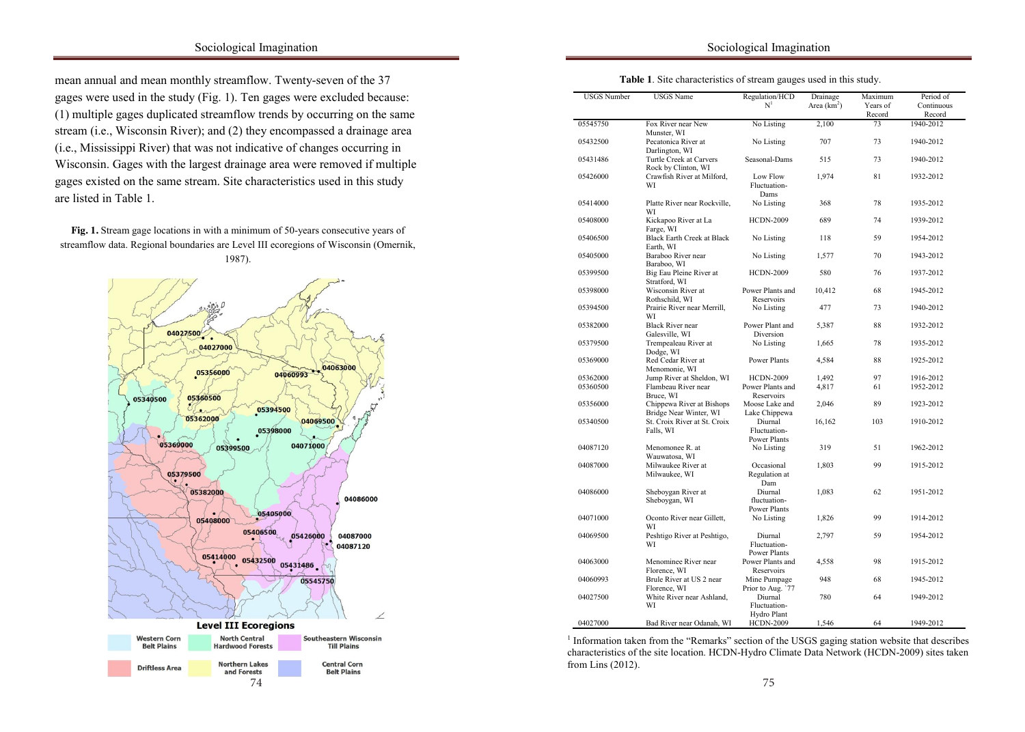# Sociological Imagination

mean annual and mean monthly streamflow. Twenty-seven of the 37 gages were used in the study (Fig. 1). Ten gages were excluded because: stream (i.e., Wisconsin River); and (2) they encompassed a drainage area (i.e., Mississippi River) that was not indicative of changes occurring in Wisconsin. Gages with the largest drainage area were removed if multiple gages existed on the same stream. Site characteristics used in this study are listed in Table 1. (1) multiple gages duplicated streamflow trends by occurring on the same

in the control of the control of the control of the control of the control of the control of the control of the control of the control of the control of the control of the control of the control of the control of the contr

Fig. 1. Stream gage locations in with a minimum of 50-years consecutive years of streamflow data. Regional boundaries are Level III ecoregions of Wisconsin (Omernik,  $1987$ . 1987).



| Table 1. Site characteristics of stream gauges used in this study. |  |
|--------------------------------------------------------------------|--|
|--------------------------------------------------------------------|--|

in the control of the control of the control of the control of the control of the control of the control of the control of the control of the control of the control of the control of the control of the control of the contr

I

| <b>USGS</b> Number | <b>USGS</b> Name                                    | Regulation/HCD<br>N <sup>1</sup>               | Drainage<br>Area $(km2)$ | Maximum<br>Years of<br>Record | Period of<br>Continuous<br>Record |
|--------------------|-----------------------------------------------------|------------------------------------------------|--------------------------|-------------------------------|-----------------------------------|
| 05545750           | Fox River near New<br>Munster, WI                   | No Listing                                     | 2,100                    | 73                            | 1940-2012                         |
| 05432500           | Pecatonica River at<br>Darlington, WI               | No Listing                                     | 707                      | 73                            | 1940-2012                         |
| 05431486           | Turtle Creek at Carvers<br>Rock by Clinton, WI      | Seasonal-Dams                                  | 515                      | 73                            | 1940-2012                         |
| 05426000           | Crawfish River at Milford,<br>WI                    | Low Flow<br>Fluctuation-<br>Dams               | 1,974                    | 81                            | 1932-2012                         |
| 05414000           | Platte River near Rockville,<br>WI                  | No Listing                                     | 368                      | 78                            | 1935-2012                         |
| 05408000           | Kickapoo River at La<br>Farge, WI                   | <b>HCDN-2009</b>                               | 689                      | 74                            | 1939-2012                         |
| 05406500           | <b>Black Earth Creek at Black</b><br>Earth, WI      | No Listing                                     | 118                      | 59                            | 1954-2012                         |
| 05405000           | Baraboo River near<br>Baraboo, WI                   | No Listing                                     | 1,577                    | 70                            | 1943-2012                         |
| 05399500           | Big Eau Pleine River at<br>Stratford, WI            | <b>HCDN-2009</b>                               | 580                      | 76                            | 1937-2012                         |
| 05398000           | Wisconsin River at<br>Rothschild, WI                | Power Plants and<br>Reservoirs                 | 10,412                   | 68                            | 1945-2012                         |
| 05394500           | Prairie River near Merrill.<br>WI                   | No Listing                                     | 477                      | 73                            | 1940-2012                         |
| 05382000           | <b>Black River near</b><br>Galesville, WI           | Power Plant and<br>Diversion                   | 5,387                    | 88                            | 1932-2012                         |
| 05379500           | Trempealeau River at<br>Dodge, WI                   | No Listing                                     | 1,665                    | 78                            | 1935-2012                         |
| 05369000           | Red Cedar River at<br>Menomonie, WI                 | Power Plants                                   | 4,584                    | 88                            | 1925-2012                         |
| 05362000           | Jump River at Sheldon, WI                           | <b>HCDN-2009</b>                               | 1,492                    | 97                            | 1916-2012                         |
| 05360500           | Flambeau River near<br>Bruce, WI                    | Power Plants and<br>Reservoirs                 | 4,817                    | 61                            | 1952-2012                         |
| 05356000           | Chippewa River at Bishops<br>Bridge Near Winter, WI | Moose Lake and<br>Lake Chippewa                | 2,046                    | 89                            | 1923-2012                         |
| 05340500           | St. Croix River at St. Croix<br>Falls, WI           | Diurnal<br>Fluctuation-<br>Power Plants        | 16,162                   | 103                           | 1910-2012                         |
| 04087120           | Menomonee R. at<br>Wauwatosa, WI                    | No Listing                                     | 319                      | 51                            | 1962-2012                         |
| 04087000           | Milwaukee River at<br>Milwaukee, WI                 | Occasional<br>Regulation at<br>Dam             | 1,803                    | 99                            | 1915-2012                         |
| 04086000           | Sheboygan River at<br>Sheboygan, WI                 | Diurnal<br>fluctuation-<br><b>Power Plants</b> | 1,083                    | 62                            | 1951-2012                         |
| 04071000           | Oconto River near Gillett,<br>WI                    | No Listing                                     | 1,826                    | 99                            | 1914-2012                         |
| 04069500           | Peshtigo River at Peshtigo,<br>WI                   | Diurnal<br>Fluctuation-<br>Power Plants        | 2,797                    | 59                            | 1954-2012                         |
| 04063000           | Menominee River near<br>Florence, WI                | Power Plants and<br>Reservoirs                 | 4,558                    | 98                            | 1915-2012                         |
| 04060993           | Brule River at US 2 near<br>Florence, WI            | Mine Pumpage<br>Prior to Aug. `77              | 948                      | 68                            | 1945-2012                         |
| 04027500           | White River near Ashland,<br>WI                     | Diurnal<br>Fluctuation-                        | 780                      | 64                            | 1949-2012                         |
| 04027000           | Bad River near Odanah, WI                           | Hydro Plant<br><b>HCDN-2009</b>                | 1,546                    | 64                            | 1949-2012                         |

Information taken from the Remarks section of the USGS gaging station website that describes characteristics of the site location. HCDN-Hydro Climate Data Network (HCDN-2009) sites taken  $1$  Information taken from the "Remarks" section of the USGS gaging station website that describes from Lins (2012).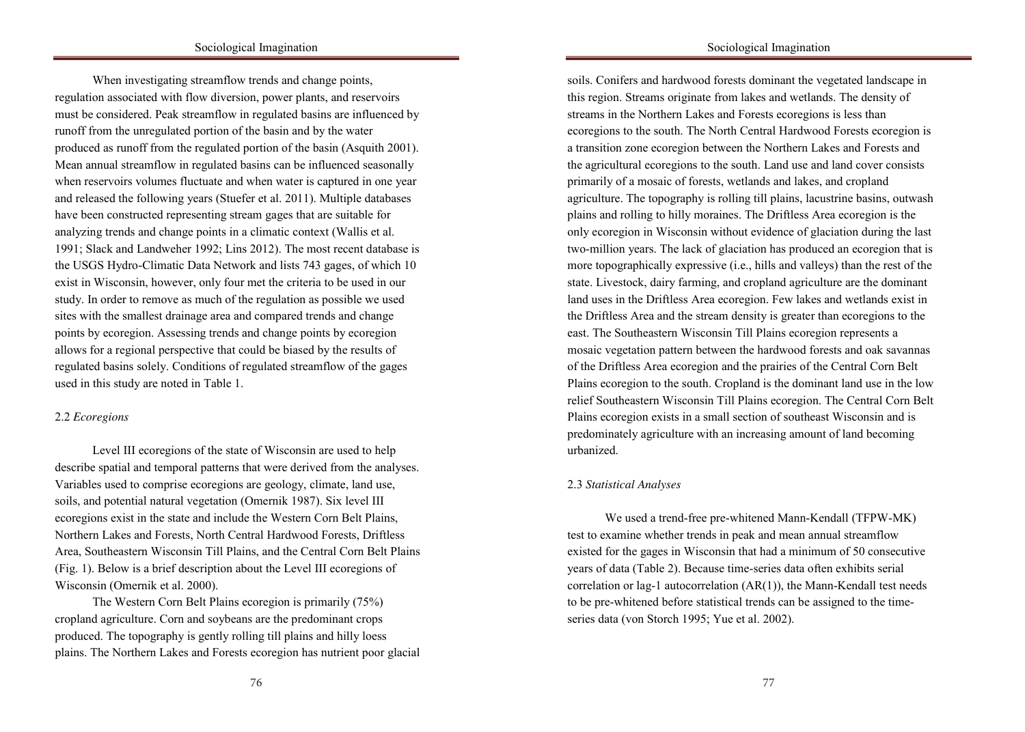When investigating streamflow trends and change points, regulation associated with flow diversion, power plants, and reservoirs runoff from the unregulated portion of the basin and by the water produced as runoff from the regulated portion of the basin (Asquith 2001). Mean annual streamflow in regulated basins can be influenced seasonally when reservoirs volumes fluctuate and when water is captured in one year and released the following years (Stuefer et al. 2011). Multiple databases have been constructed representing stream gages that are suitable for analyzing trends and change points in a climatic context (Wallis et al. 1991; Slack and Landweher 1992; Lins 2012). The most recent database is the USGS Hydro-Climatic Data Network and lists 743 gages, of which 10 exist in Wisconsin, however, only four met the criteria to be used in our  $\epsilon$  1  $\epsilon$  1  $\epsilon$  1  $\epsilon$  1  $\epsilon$  1  $\epsilon$  1  $\epsilon$  1  $\epsilon$  1  $\epsilon$  1  $\epsilon$  1  $\epsilon$  1  $\epsilon$  1  $\epsilon$  1  $\epsilon$  1  $\epsilon$  1  $\epsilon$  1  $\epsilon$  1  $\epsilon$  1  $\epsilon$  1  $\epsilon$  1  $\epsilon$  1  $\epsilon$  1  $\epsilon$  1  $\epsilon$  1  $\epsilon$  1  $\epsilon$  1  $\epsilon$  1  $\epsilon$  1  $\epsilon$  1  $\epsilon$  1  $\epsilon$  1  $\epsilon$  $\mu$  is the discrete relation of the disruption of the disruption of  $\mu$  and  $\mu$  and  $\mu$  and  $\mu$  and  $\mu$  and  $\mu$  and  $\mu$  and  $\mu$  and  $\mu$  and  $\mu$  and  $\mu$  and  $\mu$  and  $\mu$  and  $\mu$  and  $\mu$  and  $\mu$  and  $\mu$  and sites with the smallest drainage area and compared trends and change points by ecoregion. Assessing trends and change points by ecoregion. allows for a regional perspective that could be biased by the results of regulated basins solely. Conditions of regulated streamflow of the gages used in this study are noted in Table 1. must be considered. Peak streamflow in regulated basins are influenced by study. In order to remove as much of the regulation as possible we used

# 1949 (banning interracial marriages), and the Reservation of Separate Amenities 2.2 *Ecoregions*

Level III ecoregions of the state of Wisconsin are used to help describe spatial and temporal patterns that were derived from the analyses. Variables used to comprise ecoregions are geology, climate, land use, soils, and potential natural vegetation (Omernik 1987). Six level III ecoregions exist in the state and include the Western Corn Belt Plains, Northern Lakes and Forests, North Central Hardwood Forests, Driftless Area, Southeastern Wisconsin Till Plains, and the Central Corn Belt Plains (Fig. 1). Below is a brief description about the Level III ecoregions of Wisconsin (Omernik et al. 2000).

The Western Corn Belt Plains ecoregion is primarily (75%) cropland agriculture. Corn and soybeans are the predominant crops produced. The topography is gently rolling till plains and hilly loess plains. The Northern Lakes and Forests ecoregion has nutrient poor glacial

soils. Conifers and hardwood forests dominant the vegetated landscape in this region. Streams originate from lakes and wetlands. The density of ecoregions to the south. The North Central Hardwood Forests ecoregion is a transition zone ecoregion between the Northern Lakes and Forests and the agricultural ecoregions to the south. Land use and land cover consists primarily of a mosaic of forests, wetlands and lakes, and cropland agriculture. The topography is rolling till plains, lacustrine basins, outwash plains and rolling to hilly moraines. The Driftless Area ecoregion is the only ecoregion in Wisconsin without evidence of glaciation during the last two-million years. The lack of glaciation has produced an ecoregion that is more topographically expressive (i.e., hills and valleys) than the rest of the  $\text{Area}$   $\text{Area}$   $\text{Area}$  or  $\text{Area}$  or  $\text{Area}$  and  $\text{Area}$  and  $\text{Area}$  are the dominant  $\Gamma$  and  $\Gamma$  and  $\Gamma$  and  $\Gamma$  on  $\Gamma$  and  $\Gamma$  is the city in the city, which had a commute in the city, which had a contribution of  $\Gamma$ parameter relations and in many cases, led to the disruption of the disruption of  $\mathcal{A}$ the Driftless Area and the stream density is greater than ecoregions to the  $\mathbb{E}[\mathbf{X}_t]$ east. The Southeastern Wisconsin Till Plains ecoregion represents a mosaic vegetation pattern between the hardwood forests and oak savannas of the Driftless Area ecoregion and the prairies of the Central Corn Belt Plains ecoregion to the south. Cropland is the dominant land use in the low relief Southeastern Wisconsin Till Plains ecoregion. The Central Corn Belt Plains ecoregion exists in a small section of southeast Wisconsin and is predominately agriculture with an increasing amount of land becoming South Africa 1996). Given the severe conditions, Nelson Mandela and other conditions, Nelson Mandela and other conditions, Nelson Mandela and other conditions, Nelson Mandela and other conditions, Nelson Mandela and other streams in the Northern Lakes and Forests ecoregions is less than land uses in the Driftless Area ecoregion. Few lakes and wetlands exist in urbanized.

#### liberate all our people from the continuing bondage of poverty, deprivation, 2.3 *Statistical Analyses*

in the control of the control of the control of the control of the control of the control of the control of the control of the control of the control of the control of the control of the control of the control of the contr

We used a trend-free pre-whitened Mann-Kendall (TFPW-MK) test to examine whether trends in peak and mean annual streamflow existed for the gages in Wisconsin that had a minimum of 50 consecutive years of data (Table 2). Because time-series data often exhibits serial correlation or lag-1 autocorrelation (AR(1)), the Mann-Kendall test needs to be pre-whitened before statistical trends can be assigned to the timeseries data (von Storch 1995; Yue et al. 2002). extreme discrimination, segregation, and violence affecting mostly Africans and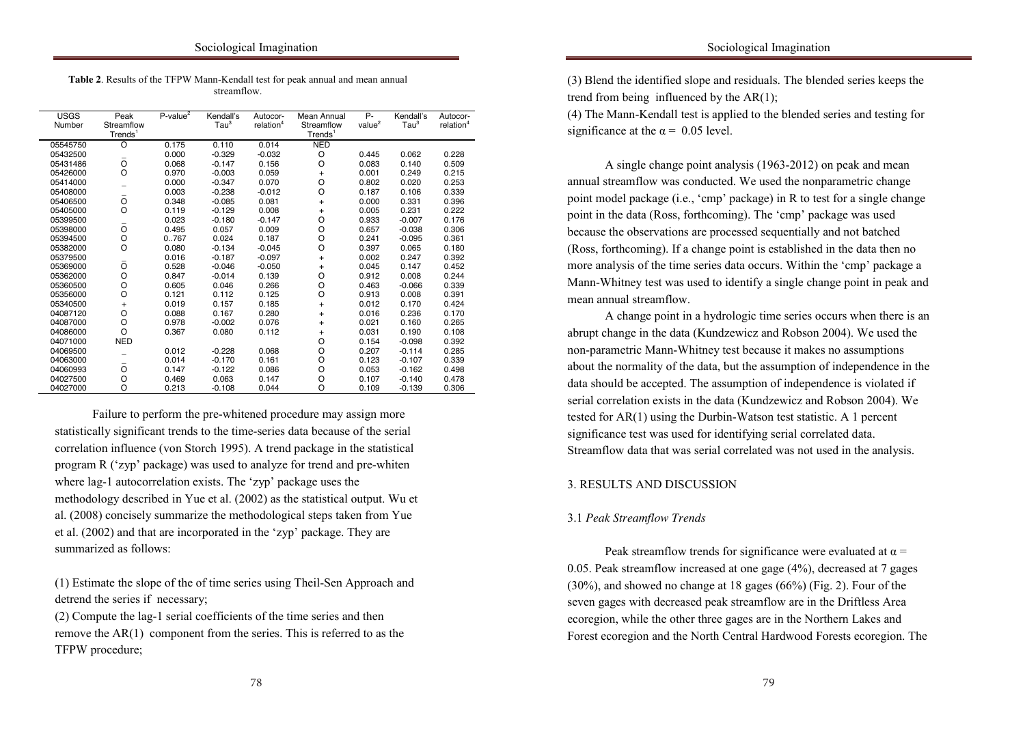| Table 2. Results of the TFPW Mann-Kendall test for peak annual and mean annual |
|--------------------------------------------------------------------------------|
| streamflow.                                                                    |
|                                                                                |

in the control of the control of the control of the control of the control of the control of the control of the control of the control of the control of the control of the control of the control of the control of the contr

| <b>USGS</b><br>Number | Peak<br>Streamflow | $P$ -value $^2$ | Kendall's<br>$\mathsf{Tau}^3$ | Autocor-<br>relation <sup>4</sup> | Mean Annual<br>Streamflow | Ρ.<br>value <sup>2</sup> | Kendall's<br>$\mathsf{Tau}^3$ | Autocor-<br>relation <sup>4</sup> |
|-----------------------|--------------------|-----------------|-------------------------------|-----------------------------------|---------------------------|--------------------------|-------------------------------|-----------------------------------|
|                       | $T$ rends $1$      |                 |                               |                                   | Trends <sup>1</sup>       |                          |                               |                                   |
| 05545750              | O                  | 0.175           | 0.110                         | 0.014                             | <b>NED</b>                |                          |                               |                                   |
| 05432500              |                    | 0.000           | $-0.329$                      | $-0.032$                          | O                         | 0.445                    | 0.062                         | 0.228                             |
| 05431486              | $\circ$            | 0.068           | $-0.147$                      | 0.156                             | O                         | 0.083                    | 0.140                         | 0.509                             |
| 05426000              | $\circ$            | 0.970           | $-0.003$                      | 0.059                             | $\ddot{}$                 | 0.001                    | 0.249                         | 0.215                             |
| 05414000              |                    | 0.000           | $-0.347$                      | 0.070                             | O                         | 0.802                    | 0.020                         | 0.253                             |
| 05408000              |                    | 0.003           | $-0.238$                      | $-0.012$                          | O                         | 0.187                    | 0.106                         | 0.339                             |
| 05406500              | O                  | 0.348           | $-0.085$                      | 0.081                             | $+$                       | 0.000                    | 0.331                         | 0.396                             |
| 05405000              | O                  | 0.119           | $-0.129$                      | 0.008                             | $+$                       | 0.005                    | 0.231                         | 0.222                             |
| 05399500              |                    | 0.023           | $-0.180$                      | $-0.147$                          | O                         | 0.933                    | $-0.007$                      | 0.176                             |
| 05398000              | $\circ$            | 0.495           | 0.057                         | 0.009                             | O                         | 0.657                    | $-0.038$                      | 0.306                             |
| 05394500              | O                  | 0767            | 0.024                         | 0.187                             | O                         | 0.241                    | $-0.095$                      | 0.361                             |
| 05382000              | O                  | 0.080           | $-0.134$                      | $-0.045$                          | O                         | 0.397                    | 0.065                         | 0.180                             |
| 05379500              |                    | 0.016           | $-0.187$                      | $-0.097$                          | $+$                       | 0.002                    | 0.247                         | 0.392                             |
| 05369000              | O                  | 0.528           | $-0.046$                      | $-0.050$                          | $\ddot{}$                 | 0.045                    | 0.147                         | 0.452                             |
| 05362000              | O                  | 0.847           | $-0.014$                      | 0.139                             | O                         | 0.912                    | 0.008                         | 0.244                             |
| 05360500              | O                  | 0.605           | 0.046                         | 0.266                             | O                         | 0.463                    | $-0.066$                      | 0.339                             |
| 05356000              | $\circ$            | 0.121           | 0.112                         | 0.125                             | O                         | 0.913                    | 0.008                         | 0.391                             |
| 05340500              | +                  | 0.019           | 0.157                         | 0.185                             | $\ddot{}$                 | 0.012                    | 0.170                         | 0.424                             |
| 04087120              | O                  | 0.088           | 0.167                         | 0.280                             | $\ddot{}$                 | 0.016                    | 0.236                         | 0.170                             |
| 04087000              | O                  | 0.978           | $-0.002$                      | 0.076                             | $+$                       | 0.021                    | 0.160                         | 0.265                             |
| 04086000              | $\Omega$           | 0.367           | 0.080                         | 0.112                             | $\ddot{}$                 | 0.031                    | 0.190                         | 0.108                             |
| 04071000              | <b>NED</b>         |                 |                               |                                   | O                         | 0.154                    | $-0.098$                      | 0.392                             |
| 04069500              |                    | 0.012           | $-0.228$                      | 0.068                             | $\circ$                   | 0.207                    | $-0.114$                      | 0.285                             |
| 04063000              |                    | 0.014           | $-0.170$                      | 0.161                             | O                         | 0.123                    | $-0.107$                      | 0.339                             |
| 04060993              | O                  | 0.147           | $-0.122$                      | 0.086                             | O                         | 0.053                    | $-0.162$                      | 0.498                             |
| 04027500              | O                  | 0.469           | 0.063                         | 0.147                             | O                         | 0.107                    | $-0.140$                      | 0.478                             |
| 04027000              | O                  | 0.213           | $-0.108$                      | 0.044                             | O                         | 0.109                    | $-0.139$                      | 0.306                             |

reinforced by the Group Areas Acr, the Prohibition of Mixed Marriage Act of Failure to perform the pre-whitened procedure may assign more statistically significant trends to the time-series data because of the serial correlation influence (von Storch 1995). A trend package in the statistical program R ('zyp' package) was used to analyze for trend and pre-whiten where lag-1 autocorrelation exists. The 'zyp' package uses the methodology described in Yue et al. (2002) as the statistical output. Wu et al. (2008) concisely summarize the methodological steps taken from Yue et al. (2002) and that are incorporated in the 'zyp' package. They are summarized as follows:

(1) Estimate the slope of the of time series using Theil-Sen Approach and detrend the series if necessary;

(2) Compute the lag-1 serial coefficients of the time series and then remove the AR(1) component from the series. This is referred to as the TFPW procedure; (3) Blend the identified slope and residuals. The blended series keeps the trend from being influenced by the  $AR(1)$ ;

significance at the  $\alpha = 0.05$  level. (4) The Mann-Kendall test is applied to the blended series and testing for

A single change point analysis (1963-2012) on peak and mean annual streamflow was conducted. We used the nonparametric change point model package (i.e., 'cmp' package) in R to test for a single change point in the data (Ross, forthcoming). The 'cmp' package was used because the observations are processed sequentially and not batched (Ross, forthcoming). If a change point is established in the data then no more analysis of the time series data occurs. Within the 'cmp' package a African studies of the theorem is the state in security of the outskirts of the outskirts of the outskirts of the outskirts of the outskirts of the outskirts of the outskirts of the outskirts of the outskirts of the outski  $\frac{1}{4}$   $\frac{1}{4}$ Mann-Whitney test was used to identify a single change point in peak and mean annual streamflow.

profound effect on generations and in many cases, led to the disruptions and in many cases, led to the disruption of  $\mathbf{a}$  $\frac{1}{2}$  family structures (Burman and van der Sput 1996; Kellett, Mothwan and van der Sput 1996; Kellett, Mothwan and van der Sput 1996; Kellett, Mothwan and van der Sput 1996; Kellett, Mothwan and van der Sput 1996; Ke abrupt change in the data (Kundzewicz and Robson 2004). We used the non-parametric Mann-Whitney test because it makes no assumptions about the normality of the data, but the assumption of independence in the data should be accepted. The assumption of independence is violated if serial correlation exists in the data (Kundzewicz and Robson 2004). We tested for  $AR(1)$  using the Durbin-Watson test statistic. A 1 percent significance test was used for identifying serial correlated data. Streamflow data that was serial correlated was not used in the analysis. A change point in a hydrologic time series occurs when there is an

## 3. RESULTS AND DISCUSSION

# 3.1 *Peak Streamflow Trends*

in the control of the control of the control of the control of the control of the control of the control of the control of the control of the control of the control of the control of the control of the control of the contr

Peak streamflow trends for significance were evaluated at  $\alpha$  = 0.05. Peak streamflow increased at one gage  $(4%)$ , decreased at 7 gages (30%), and showed no change at 18 gages (66%) (Fig. 2). Four of the seven gages with decreased peak streamflow are in the Driftless Area ecoregion, while the other three gages are in the Northern Lakes and Forest ecoregion and the North Central Hardwood Forests ecoregion. The  $\mathcal C$  coloured similarity of experiences with the racial groups that  $\mathcal C$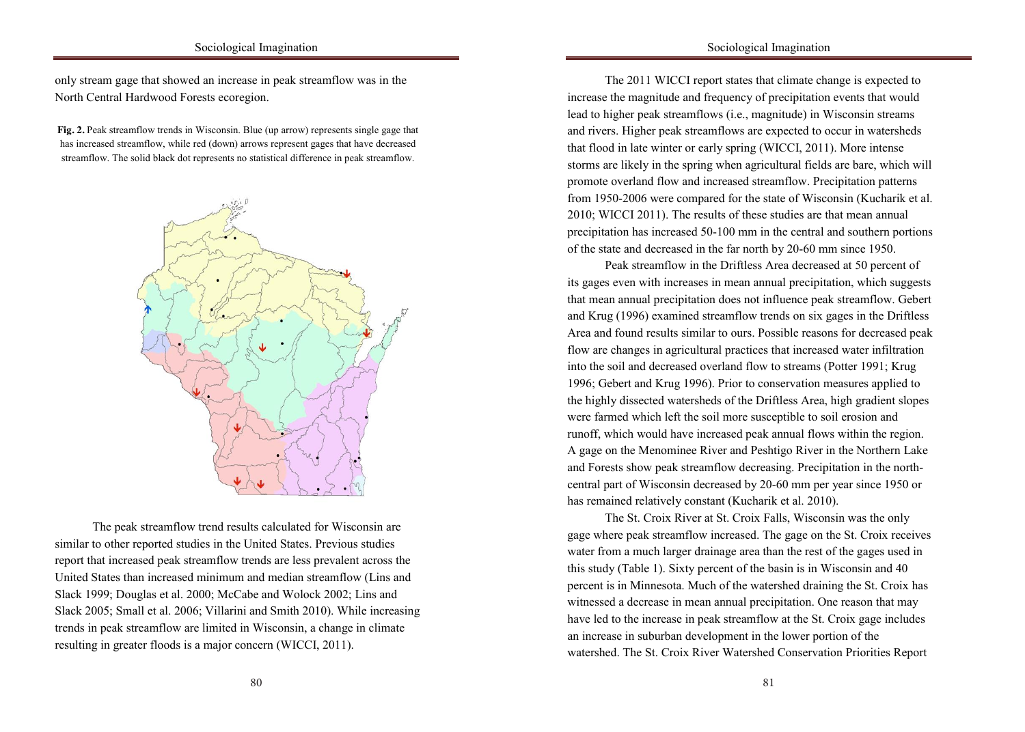## Sociological Imagination

only stream gage that showed an increase in peak streamflow was in the North Central Hardwood Forests ecoregion.

in the control of the control of the control of the control of the control of the control of the control of the control of the control of the control of the control of the control of the control of the control of the contr

Fig. 2. Peak streamflow trends in Wisconsin. Blue (up arrow) represents single gage that has increased streamflow, while red (down) arrows represent gages that have decreased streamflow. The solid black dot represents no statistical difference in peak streamflow.



 $W_{\rm tot}$  to understand the economic status of racial/ethnic groups in racial/ethnic groups in racial/ethnic groups in  $\sigma$ The peak streamflow trend results calculated for Wisconsin are similar to other reported studies in the United States. Previous studies report that increased peak streamflow trends are less prevalent across the United States than increased minimum and median streamflow (Lins and Slack 1999; Douglas et al. 2000; McCabe and Wolock 2002; Lins and Slack 2005; Small et al. 2006; Villarini and Smith 2010). While increasing trends in peak streamflow are limited in Wisconsin, a change in climate resulting in greater floods is a major concern (WICCI, 2011).

The 2011 WICCI report states that climate change is expected to increase the magnitude and frequency of precipitation events that would and rivers. Higher peak streamflows are expected to occur in watersheds that flood in late winter or early spring (WICCI, 2011). More intense storms are likely in the spring when agricultural fields are bare, which will promote overland flow and increased streamflow. Precipitation patterns from 1950-2006 were compared for the state of Wisconsin (Kucharik et al. 2010; WICCI 2011). The results of these studies are that mean annual precipitation has increased 50-100 mm in the central and southern portions of the state and decreased in the far north by 20-60 mm since 1950. lead to higher peak streamflows (i.e., magnitude) in Wisconsin streams

Peak streamflow in the Driftless Area decreased at 50 percent of its gages even with increases in mean annual precipitation, which suggests cities allows were the international allows and allowed to live in the city, which had allowed to live in the city, which had allowed to live in the city, which had allowed to live in the city, which had all with the city,  $\frac{1}{K}$  (1006) in detail  $\frac{1}{K}$  and  $\frac{1}{K}$  and disruption of disruption of disruption of disruption of disruption of disruption of disruption of disruption of disruption of disruption of disruption of disruption o and Krug (1996) examined streamflow trends on six gages in the Driftless Area and found results similar to ours. Possible reasons for decreased peak flow are changes in agricultural practices that increased water infiltration into the soil and decreased overland flow to streams (Potter 1991; Krug 1996; Gebert and Krug 1996). Prior to conservation measures applied to the highly dissected watersheds of the Driftless Area, high gradient slopes were farmed which left the soil more susceptible to soil erosion and runoff, which would have increased peak annual flows within the region. A gage on the Menominee River and Peshtigo River in the Northern Lake and Forests show peak streamflow decreasing. Precipitation in the northcentral part of Wisconsin decreased by 20-60 mm per year since 1950 or has remained relatively constant (Kucharik et al. 2010). that mean annual precipitation does not influence peak streamflow. Gebert

The St. Croix River at St. Croix Falls, Wisconsin was the only gage where peak streamflow increased. The gage on the St. Croix receives water from a much larger drainage area than the rest of the gages used in this study (Table 1). Sixty percent of the basin is in Wisconsin and 40 percent is in Minnesota. Much of the watershed draining the St. Croix has witnessed a decrease in mean annual precipitation. One reason that may have led to the increase in peak streamflow at the St. Croix gage includes an increase in suburban development in the lower portion of the watershed. The St. Croix River Watershed Conservation Priorities Report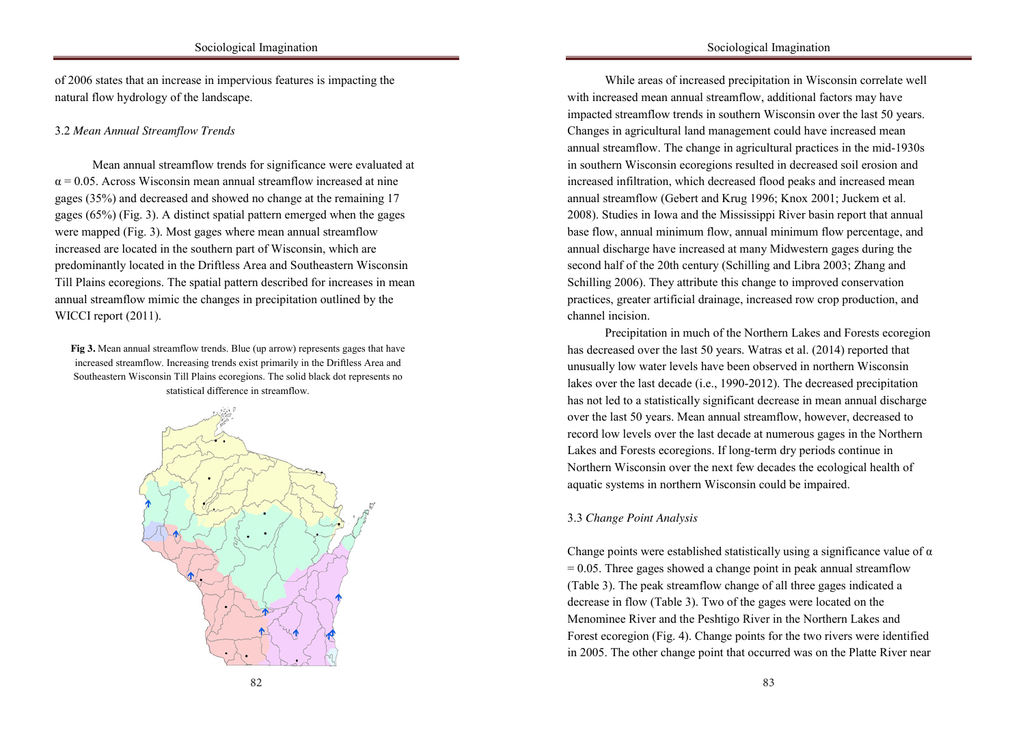of 2006 states that an increase in impervious features is impacting the natural flow hydrology of the landscape. in the control of the control of the control of the control of the control of the control of the control of the control of the control of the control of the control of the control of the control of the control of the contr

# Under apartheid, South Africa was "two nations": one Black and one 3.2 *Mean Annual Streamflow Trends*

Mean annual streamflow trends for significance were evaluated at  $\alpha$  = 0.05. Across Wisconsin mean annual streamflow increased at nine gages (35%) and decreased and showed no change at the remaining 17 gages (65%) (Fig. 3). A distinct spatial pattern emerged when the gages were mapped (Fig. 3). Most gages where mean annual streamflow increased are located in the southern part of Wisconsin, which are predominantly located in the Driftless Area and Southeastern Wisconsin Till Plains ecoregions. The spatial pattern described for increases in mean  $\frac{1}{4}$  and  $\frac{1}{4}$  and  $\frac{1}{4}$  and  $\frac{1}{4}$  and  $\frac{1}{4}$  and allowed to live in the city, which had a allowed to live in the city, which had a server of the city, which had a server of the city, which had a serve annual streamflow mimic the changes in precipitation outlined by the  $WIGGI$  $\text{WICC11}$  port  $(2011)$ . WICCI report (2011).

Fig 3. Mean annual streamflow trends. Blue (up arrow) represents gages that have If got with annual streamflow dental. Due (up arrow) represents gages that have increased streamflow. Increasing trends exist primarily in the Driftless Area and Southeastern Wisconsin Till Plains ecoregions. The solid black dot represents no statistical difference in streamflow.



While areas of increased precipitation in Wisconsin correlate well with increased mean annual streamflow, additional factors may have Changes in agricultural land management could have increased mean annual streamflow. The change in agricultural practices in the mid-1930s in southern Wisconsin ecoregions resulted in decreased soil erosion and increased infiltration, which decreased flood peaks and increased mean annual streamflow (Gebert and Krug 1996; Knox 2001; Juckem et al. 2008). Studies in Iowa and the Mississippi River basin report that annual base flow, annual minimum flow, annual minimum flow percentage, and annual discharge have increased at many Midwestern gages during the second half of the 20th century (Schilling and Libra 2003; Zhang and  $\frac{1}{2}$ Schilling 2006). They attribute this change to improved conservation  $\epsilon$  serves). They attribute this entries to improved conservation practices, greater artificial drainage, increased row crop production, and  $\sum_{i=1}^{n}$  family structures (Burman and van der Sput 1996; Kellett, Mothwan and van der Sput 1996; Kellett, Mothwan and van der Sput 1996; Kellett, Mothwan and van der Sput 1996; Kellett, Mothwan and van der Sput 1996; impacted streamflow trends in southern Wisconsin over the last 50 years. channel incision.

Precipitation in much of the Northern Lakes and Forests ecoregion has decreased over the last 50 years. Watras et al. (2014) reported that unusually low water levels have been observed in northern Wisconsin lakes over the last decade (i.e., 1990-2012). The decreased precipitation has not led to a statistically significant decrease in mean annual discharge over the last 50 years. Mean annual streamflow, however, decreased to record low levels over the last decade at numerous gages in the Northern Lakes and Forests ecoregions. If long-term dry periods continue in Northern Wisconsin over the next few decades the ecological health of aquatic systems in northern Wisconsin could be impaired.

# 3.3 *Change Point Analysis* **Example 2.3** *Change Point Analysis*

Change points were established statistically using a significance value of  $\alpha$  $= 0.05$ . Three gages showed a change point in peak annual streamflow (Table 3). The peak streamflow change of all three gages indicated a decrease in flow (Table 3). Two of the gages were located on the Menominee River and the Peshtigo River in the Northern Lakes and Forest ecoregion (Fig. 4). Change points for the two rivers were identified in 2005. The other change point that occurred was on the Platte River near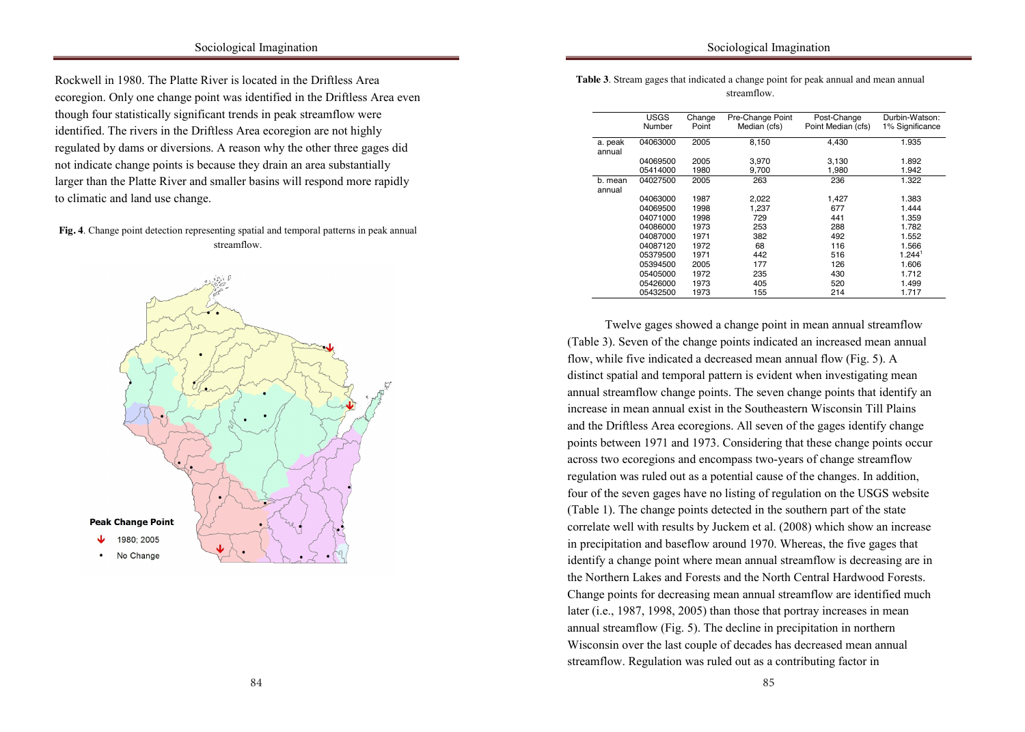Rockwell in 1980. The Platte River is located in the Driftless Area ecoregion. Only one change point was identified in the Driftless Area even identified. The rivers in the Driftless Area ecoregion are not highly regulated by dams or diversions. A reason why the other three gages did not indicate change points is because they drain an area substantially larger than the Platte River and smaller basins will respond more rapidly to climatic and land use change. Seekings 2008). Laws such as the Native Laws Amendments Act of 1937 though four statistically significant trends in peak streamflow were

in the control of the control of the control of the control of the control of the control of the control of the control of the control of the control of the control of the control of the control of the control of the contr

# Fig. 4. Change point detection representing spatial and temporal patterns in peak annual streamflow.



| <b>Table 3</b> . Stream gages that indicated a change point for peak annual and mean annual |  |  |
|---------------------------------------------------------------------------------------------|--|--|
| streamflow.                                                                                 |  |  |

in the control of the control of the control of the control of the control of the control of the control of the control of the control of the control of the control of the control of the control of the control of the contr

|                   | <b>USGS</b><br>Number | Change<br>Point | Pre-Change Point<br>Median (cfs) | Post-Change<br>Point Median (cfs) | Durbin-Watson:<br>1% Significance |
|-------------------|-----------------------|-----------------|----------------------------------|-----------------------------------|-----------------------------------|
| a. peak<br>annual | 04063000              | 2005            | 8,150                            | 4,430                             | 1.935                             |
|                   | 04069500              | 2005            | 3,970                            | 3,130                             | 1.892                             |
|                   | 05414000              | 1980            | 9,700                            | 1,980                             | 1.942                             |
| b. mean<br>annual | 04027500              | 2005            | 263                              | 236                               | 1.322                             |
|                   | 04063000              | 1987            | 2,022                            | 1,427                             | 1.383                             |
|                   | 04069500              | 1998            | 1,237                            | 677                               | 1.444                             |
|                   | 04071000              | 1998            | 729                              | 441                               | 1.359                             |
|                   | 04086000              | 1973            | 253                              | 288                               | 1.782                             |
|                   | 04087000              | 1971            | 382                              | 492                               | 1.552                             |
|                   | 04087120              | 1972            | 68                               | 116                               | 1.566                             |
|                   | 05379500              | 1971            | 442                              | 516                               | 1.244 <sup>1</sup>                |
|                   | 05394500              | 2005            | 177                              | 126                               | 1.606                             |
|                   | 05405000              | 1972            | 235                              | 430                               | 1.712                             |
|                   | 05426000              | 1973            | 405                              | 520                               | 1.499                             |
|                   | 05432500              | 1973            | 155                              | 214                               | 1.717                             |

Twelve gages showed a change point in mean annual streamflow (Table 3). Seven of the change points indicated an increased mean annual flow, while five indicated a decreased mean annual flow (Fig. 5). A distinct spatial and temporal pattern is evident when investigating mean annual streamflow change points. The seven change points that identify an increase in mean annual exist in the Southeastern Wisconsin Till Plains and the Driftless Area ecoregions. All seven of the gages identify change points between 1971 and 1973. Considering that these change points occur express two ecoregions and encompass two-years of change streamflow access the corregions are chosingized the years of change subcannical liberation was falled our as a potential chase of the changes, in addition,  $\frac{1}{2}$ four of the seven gages have no listing of regulation on the USGS website (Table 1). The change points detected in the southern part of the state correlate well with results by Juckem et al.  $(2008)$  which show an increase in precipitation and baseflow around 1970. Whereas, the five gages that identify a change point where mean annual streamflow is decreasing are in the Northern Lakes and Forests and the North Central Hardwood Forests. Change points for decreasing mean annual streamflow are identified much later (i.e., 1987, 1998, 2005) than those that portray increases in mean annual streamflow (Fig. 5). The decline in precipitation in northern Wisconsin over the last couple of decades has decreased mean annual streamflow. Regulation was ruled out as a contributing factor in

84 84 and 2008 85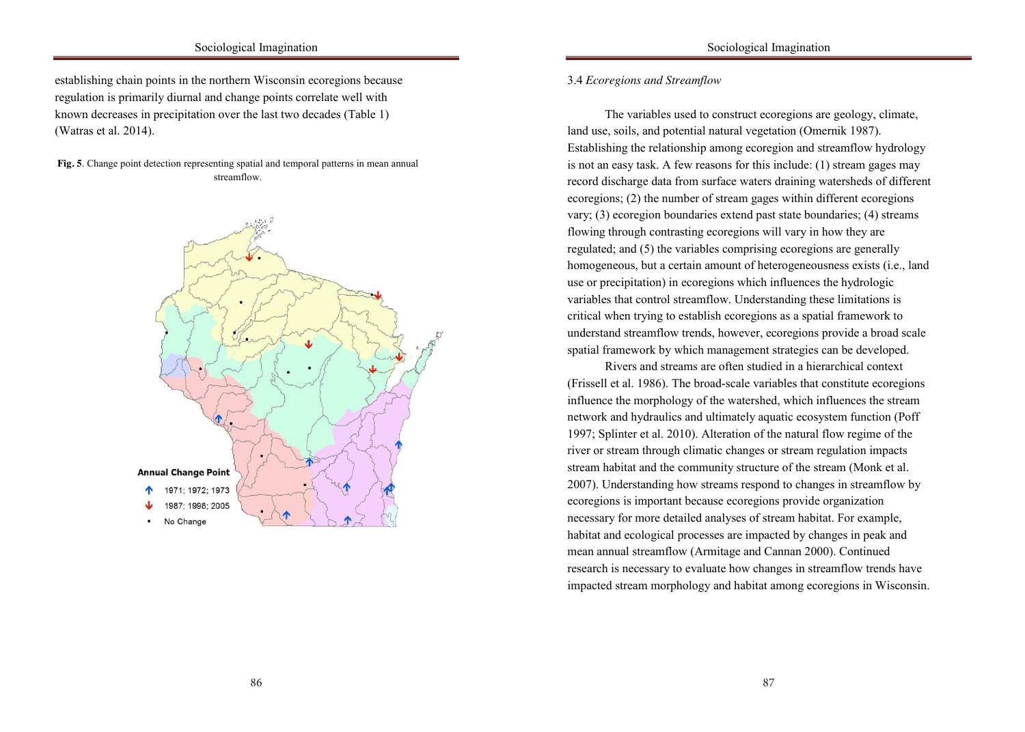establishing chain points in the northern Wisconsin ecoregions because regulation is primarily diurnal and change points correlate well with  $(Watras et al. 2014).$ known decreases in precipitation over the last two decades (Table 1)

in the control of the control of the control of the control of the control of the control of the control of the control of the control of the control of the control of the control of the control of the control of the contr

Fig. 5. Change point detection representing spatial and temporal patterns in mean annual streamflow. streamflow.



# the household, and number of consumer goods are related to 3.4 *Ecoregions and Streamflow*

in the control of the control of the control of the control of the control of the control of the control of the control of the control of the control of the control of the control of the control of the control of the contr

land use, soils, and potential natural vegetation (Omernik 1987). Establishing the relationship among ecoregion and streamflow hydrology is not an easy task. A few reasons for this include: (1) stream gages may record discharge data from surface waters draining watersheds of different ecoregions; (2) the number of stream gages within different ecoregions vary; (3) ecoregion boundaries extend past state boundaries; (4) streams flowing through contrasting ecoregions will vary in how they are regulated; and  $(5)$  the variables comprising ecoregions are generally homogeneous, but a certain amount of heterogeneousness exists (i.e., land Lette generally can be contained in the outstituding contained to the outside of  $(1, 0, 1, 1, 1)$ <br>use or precipitation) in ecoregions which influences the hydrologic  $\alpha$  server the only Africans allows which intrividually allowed to live in the city, which had a server than  $\alpha$ profound effect on generations and in many cases, led to the disruption of the disruption of the disruption of  $\frac{1}{2}$  $\frac{1}{2}$  family structures (Burman and van der Spuria manufactures ( $\frac{1}{2}$ understand streamflow trends, however, ecoregions provide a broad scale spatial framework by which management strategies can be developed. The variables used to construct ecoregions are geology, climate, variables that control streamflow. Understanding these limitations is critical when trying to establish ecoregions as a spatial framework to

Rivers and streams are often studied in a hierarchical context (Frissell et al. 1986). The broad-scale variables that constitute ecoregions influence the morphology of the watershed, which influences the stream network and hydraulics and ultimately aquatic ecosystem function (Poff 1997; Splinter et al. 2010). Alteration of the natural flow regime of the river or stream through climatic changes or stream regulation impacts stream habitat and the community structure of the stream (Monk et al. 2007). Understanding how streams respond to changes in streamflow by ecoregions is important because ecoregions provide organization necessary for more detailed analyses of stream habitat. For example, habitat and ecological processes are impacted by changes in peak and mean annual streamflow (Armitage and Cannan 2000). Continued research is necessary to evaluate how changes in streamflow trends have impacted stream morphology and habitat among ecoregions in Wisconsin.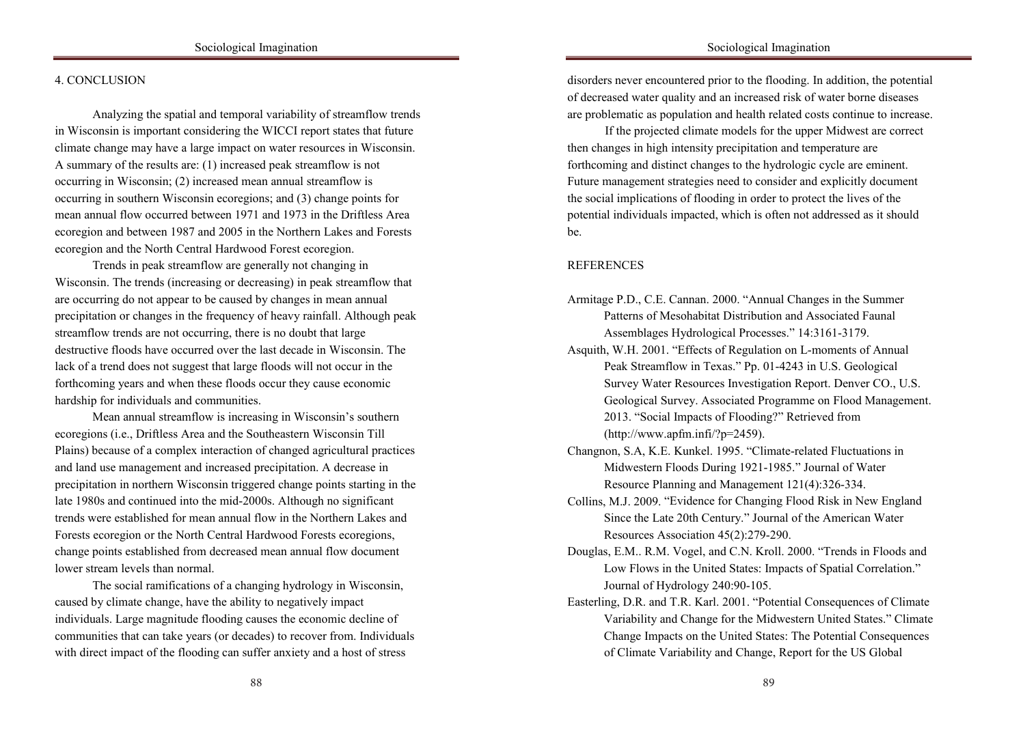# in the control of the control of the control of the control of the control of the control of the control of the control of the control of the control of the control of the control of the control of the control of the contr

## the household, and number of consumer goods are related to 4. CONCLUSION

in the control of the control of the control of the control of the control of the control of the control of the control of the control of the control of the control of the control of the control of the control of the contr

in Wisconsin is important considering the WICCI report states that future climate change may have a large impact on water resources in Wisconsin. A summary of the results are: (1) increased peak streamflow is not occurring in Wisconsin; (2) increased mean annual streamflow is occurring in southern Wisconsin ecoregions; and (3) change points for mean annual flow occurred between 1971 and 1973 in the Driftless Area ecoregion and between 1987 and 2005 in the Northern Lakes and Forests ecoregion and the North Central Hardwood Forest ecoregion. Analyzing the spatial and temporal variability of streamflow trends

Trends in peak streamflow are generally not changing in Wisconsin. The trends (increasing or decreasing) in peak streamflow that  $\alpha$  corrections were the only Africans allowed the city, which had allowed to live in the city, which had a allowed to live in the city, which had a served to live in the city, which had a served on the city, which had a profound effect to the conduct of changes in mean and  $\alpha$ .  $\alpha$  framework is the sequence of  $\alpha$  in der  $\alpha$  and  $\alpha$  and  $\alpha$  is  $\alpha$  is  $\alpha$  is  $\alpha$  is  $\alpha$  is  $\alpha$  is  $\alpha$  is  $\alpha$  is  $\alpha$  is  $\alpha$  is  $\alpha$  is  $\alpha$  is  $\alpha$  is  $\alpha$  is  $\alpha$  is  $\alpha$  is  $\alpha$  is  $\alpha$  is  $\alpha$  is  $\alpha$  streamflow trends are not occurring, there is no doubt that large destructive floods have occurred over the last decade in Wisconsin. The lack of a trend does not suggest that large floods will not occur in the forthcoming years and when these floods occur they cause economic hardship for individuals and communities. are occurring do not appear to be caused by changes in mean annual precipitation or changes in the frequency of heavy rainfall. Although peak

Mean annual streamflow is increasing in Wisconsin's southern ecoregions (i.e., Driftless Area and the Southeastern Wisconsin Till Plains) because of a complex interaction of changed agricultural practices and land use management and increased precipitation. A decrease in precipitation in northern Wisconsin triggered change points starting in the late 1980s and continued into the mid-2000s. Although no significant trends were established for mean annual flow in the Northern Lakes and Forests ecoregion or the North Central Hardwood Forests ecoregions, change points established from decreased mean annual flow document lower stream levels than normal.

The social ramifications of a changing hydrology in Wisconsin, caused by climate change, have the ability to negatively impact individuals. Large magnitude flooding causes the economic decline of communities that can take years (or decades) to recover from. Individuals with direct impact of the flooding can suffer anxiety and a host of stress

disorders never encountered prior to the flooding. In addition, the potential of decreased water quality and an increased risk of water borne diseases are problematic as population and health related costs continue to increase.

Sociological Imagination

If the projected climate models for the upper Midwest are correct then changes in high intensity precipitation and temperature are forthcoming and distinct changes to the hydrologic cycle are eminent. Future management strategies need to consider and explicitly document the social implications of flooding in order to protect the lives of the potential individuals impacted, which is often not addressed as it should  $h_{\rm P}$ be.

# REFERENCES Africans, Coloureds, and Indians to live in separate townships on the outskirts on the outskirts of  $\alpha$

- Asquith, W.H. 2001. "Effects of Regulation on L-moments of Annual Peak Streamflow in Texas." Pp. 01-4243 in U.S. Geological Survey Water Resources Investigation Report. Denver CO., U.S. Geological Survey. Associated Programme on Flood Management. 2013. "Social Impacts of Flooding?" Retrieved from  $(\text{http://www.apfm.infi/?p=2459}).$
- Changnon, S.A, K.E. Kunkel. 1995. "Climate-related Fluctuations in Midwestern Floods During 1921-1985." Journal of Water Resource Planning and Management 121(4):326-334.
- Collins, M.J. 2009. "Evidence for Changing Flood Risk in New England Collins, M.J. 2009. "Evidence for Changing Flood Risk in New England<br>Since the Late 20th Century." Journal of the American Water Resources Association 45(2):279-290.
- Douglas, E.M.. R.M. Vogel, and C.N. Kroll. 2000. "Trends in Floods and Low Flows in the United States: Impacts of Spatial Correlation." Journal of Hydrology 240:90-105.
- Easterling, D.R. and T.R. Karl. 2001. "Potential Consequences of Climate Variability and Change for the Midwestern United States." Climate Change Impacts on the United States: The Potential Consequences of Climate Variability and Change, Report for the US Global

 $\lambda$  in DD GEG only  $\mu$  and  $\mu$  in the city in the city, which had a city, which had a city, which had a city, which had a city, which had a city, which had a city, which had a city, which had a city, which had a city,  $p_{\mu} = p_{\mu} = 0.1 \pm 1.1 \pm 0.01 \pm 1.01 \pm 1.01 \pm 1.01 \pm 1.01 \pm 1.01 \pm 1.01 \pm 1.01 \pm 1.01 \pm 1.01 \pm 1.01 \pm 1.01 \pm 1.01 \pm 1.01 \pm 1.01 \pm 1.01 \pm 1.01 \pm 1.01 \pm 1.01 \pm 1.01 \pm 1.01 \pm 1.01 \pm 1.01 \pm 1.01 \pm 1.01 \pm 1.01 \pm 1.01 \pm 1.01 \pm$ traditional family structures (Burman and van der Spuy 1996; Kellett, Mothwa Assemblages Hydrological Processes." 14:3161-3179. Armitage P.D., C.E. Cannan. 2000. "Annual Changes in the Summer Patterns of Mesohabitat Distribution and Associated Faunal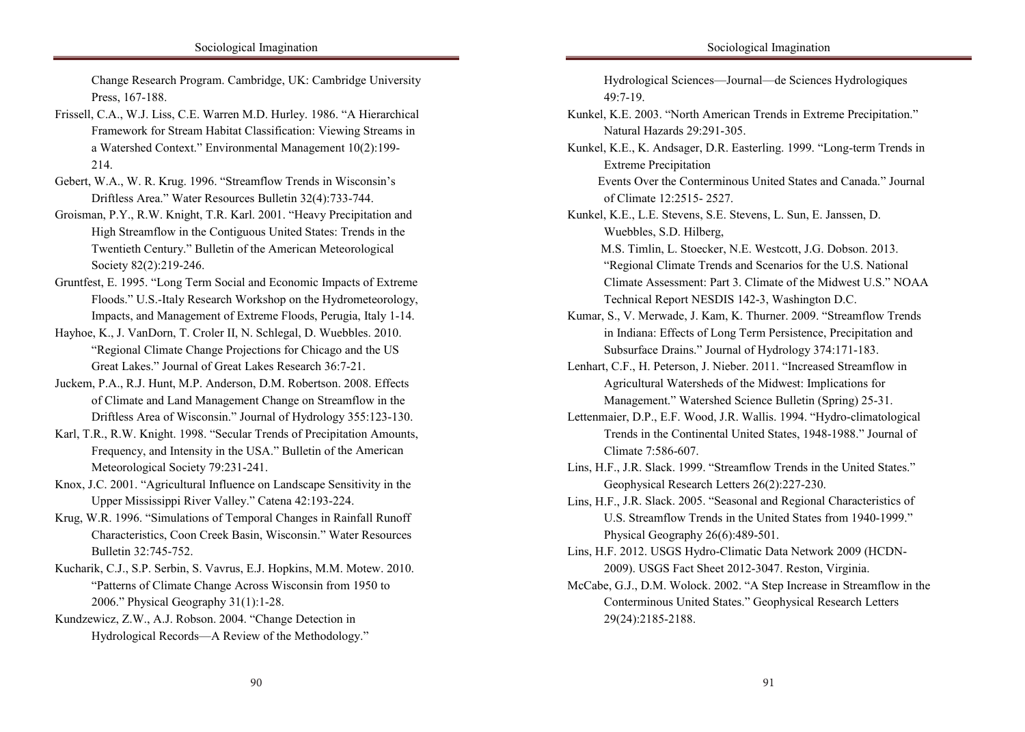the house Research Program. Cambridge, UK: Cambridge University Press, 167-188.

- Framework for Stream Habitat Classification: Viewing Streams in a Watershed Context." Environmental Management 10(2):199- $214.$ Frissell, C.A., W.J. Liss, C.E. Warren M.D. Hurley. 1986. "A Hierarchical 214.
- Gebert, W.A., W. R. Krug. 1996. "Streamflow Trends in Wisconsin's Driftless Area." Water Resources Bulletin 32(4):733-744.
- Groisman, P.Y., R.W. Knight, T.R. Karl. 2001. "Heavy Precipitation and High Streamflow in the Contiguous United States: Trends in the Twentieth Century." Bulletin of the American Meteorological Society 82(2):219-246.
- Gruntfest, E. 1995. "Long Term Social and Economic Impacts of Extreme  $\frac{1}{\text{P1}}$   $\frac{1}{\text{P1}}$   $\frac{1}{\text{P1}}$   $\frac{1}{\text{P1}}$   $\frac{1}{\text{P1}}$   $\frac{1}{\text{P1}}$   $\frac{1}{\text{P1}}$   $\frac{1}{\text{P1}}$   $\frac{1}{\text{P1}}$   $\frac{1}{\text{P1}}$   $\frac{1}{\text{P1}}$   $\frac{1}{\text{P1}}$   $\frac{1}{\text{P1}}$   $\frac{1}{\text{P1}}$   $\frac{1}{\text{P1}}$   $\frac{1}{\text{P1$  $P_{\text{tot}} = 1 M_{\text{tot}}$  on  $\mathcal{F}_{\text{tot}} = 1 M_{\text{tot}}$  on  $\mathcal{F}_{\text{tot}} = 1 M_{\text{tot}}$  $t_{\text{min}}$  family structures (Burman and van der Sput 1996; Kellett, Mothwan and van der Spur 1996; Kellett, Mothwan and van der Spur 1996; Kellett, Mothwan and van der Spur 1996; Kellett, Mothwan and van der Spur 1996; Ke Floods." U.S.-Italy Research Workshop on the Hydrometeorology, Impacts, and Management of Extreme Floods, Perugia, Italy 1-14.
- Hayhoe, K., J. VanDorn, T. Croler II, N. Schlegal, D. Wuebbles. 2010. "Regional Climate Change Projections for Chicago and the US Great Lakes." Journal of Great Lakes Research 36:7-21.
- Juckem, P.A., R.J. Hunt, M.P. Anderson, D.M. Robertson. 2008. Effects of Climate and Land Management Change on Streamflow in the Driftless Area of Wisconsin." Journal of Hydrology 355:123-130.
- Karl, T.R., R.W. Knight. 1998. "Secular Trends of Precipitation Amounts, Frequency, and Intensity in the USA." Bulletin of the American Meteorological Society 79:231-241.
- Knox, J.C. 2001. "Agricultural Influence on Landscape Sensitivity in the Upper Mississippi River Valley." Catena 42:193-224.
- Krug, W.R. 1996. "Simulations of Temporal Changes in Rainfall Runoff Characteristics, Coon Creek Basin, Wisconsin." Water Resources Bulletin 32:745-752.
- Kucharik, C.J., S.P. Serbin, S. Vavrus, E.J. Hopkins, M.M. Motew. 2010. "Patterns of Climate Change Across Wisconsin from 1950 to 2006." Physical Geography 31(1):1-28.
- Kundzewicz, Z.W., A.J. Robson. 2004. "Change Detection in Hydrological Records—A Review of the Methodology."  $\mathcal{L}$  coloured similarity of experimental groups that  $\mathcal{L}$

Hydrological Sciences—Journal—de Sciences Hydrologiques income for all racial groups. 49:7-19.

- Natural Hazards 29:291-305. Kunkel, K.E. 2003. "North American Trends in Extreme Precipitation."
- Kunkel, K.E., K. Andsager, D.R. Easterling. 1999. "Long-term Trends in Extreme Precipitation in which the state ensured that the State ensured that the White State ensured that the White

Events Over the Conterminous United States and Canada." Journal of Climate 12:2515- 2527.

Kunkel, K.E., L.E. Stevens, S.E. Stevens, L. Sun, E. Janssen, D. Wuebbles, S.D. Hilberg,

M.S. Timlin, L. Stoecker, N.E. Westcott, J.G. Dobson. 2013. "Regional Climate Trends and Scenarios for the U.S. National Africans, Coloureds, and Indians to live in separate townships on the outskirts of Climate Assessment: Part 3. Climate of the Midwest U.S." NOAA  $T = 1 + 1D$   $\triangle$  AFFGNG 142.2 W. 1.  $\triangle$  D.C. Technical Report NESDIS 142-3, Washington D.C.

- profound exposure relations and in manufacturers. Kumar, S., V. Merwade, J. Kam, K. Thurner. 2009. "Streamflow Trends" in Indiana: Effects of Long Term Persistence, Precipitation and Subsurface Drains." Journal of Hydrology 374:171-183.
- Lenhart, C.F., H. Peterson, J. Nieber. 2011. "Increased Streamflow in Agricultural Watersheds of the Midwest: Implications for Management." Watershed Science Bulletin (Spring) 25-31.
- Lettenmaier, D.P., E.F. Wood, J.R. Wallis. 1994. "Hydro-climatological Trends in the Continental United States, 1948-1988." Journal of Climate  $7:586-607$ .
- Lins, H.F., J.R. Slack. 1999. "Streamflow Trends in the United States." Geophysical Research Letters 26(2):227-230.
- Lins, H.F., J.R. Slack. 2005. "Seasonal and Regional Characteristics of U.S. Streamflow Trends in the United States from 1940-1999." Physical Geography 26(6):489-501.
- Lins, H.F. 2012. USGS Hydro-Climatic Data Network 2009 (HCDN-2009). USGS Fact Sheet 2012-3047. Reston, Virginia.
- McCabe, G.J., D.M. Wolock. 2002. "A Step Increase in Streamflow in the Conterminous United States." Geophysical Research Letters 29(24):2185-2188. extreme discrimination, segregation, and violence affecting mostly Africans and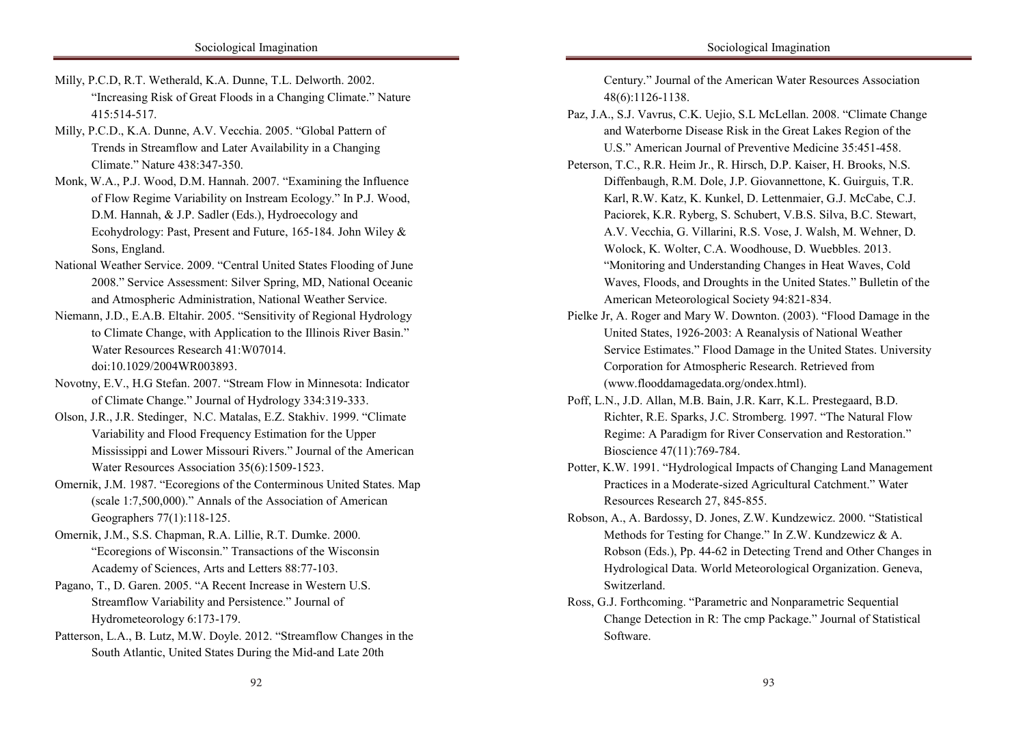- Milly, P.C.D, R.T. Wetherald, K.A. Dunne, T.L. Delworth. 2002. "Increasing Risk of Great Floods in a Changing Climate." Nature in the control of the control of the control of the control of the control of the control of the control of the control of the control of the control of the control of the control of the control of the control of the contr 415:514-517.
- Milly, P.C.D., K.A. Dunne, A.V. Vecchia. 2005. "Global Pattern of Trends in Streamflow and Later Availability in a Changing Climate." Nature 438:347-350.
- Monk, W.A., P.J. Wood, D.M. Hannah. 2007. "Examining the Influence of Flow Regime Variability on Instream Ecology." In P.J. Wood, D.M. Hannah, & J.P. Sadler (Eds.), Hydroecology and Ecohydrology: Past, Present and Future, 165-184. John Wiley  $\&$ segregation that was strictly engaged with the 'separate development' policy. The 'separate development' policy. The 'separate development' policy. The 'separate development' policy. The 'separate development' policy. The Sons, England.
- National Weather Service. 2009. "Central United States Flooding of June Africans, Coloureds, and Indians to live in separate townships on the outskirts of 2008." Service Assessment: Silver Spring, MD, National Oceanic  $\frac{1 \text{ A}}{1 \text{ A}} = \frac{1}{1 \text{ A}} = \frac{1}{1 \text{ A}} = \frac{1}{1 \text{ A}} = \frac{1}{1 \text{ A}} = \frac{1}{1 \text{ A}} = \frac{1}{1 \text{ A}} = \frac{1}{1 \text{ A}} = \frac{1}{1 \text{ A}} = \frac{1}{1 \text{ A}} = \frac{1}{1 \text{ A}} = \frac{1}{1 \text{ A}} = \frac{1}{1 \text{ A}} = \frac{1}{1 \text{ A}} = \frac{1}{1 \text{ A}} = \frac{1}{1 \text{ A}} = \frac{1}{1 \text{ A}} = \frac{1}{1 \text{ A}}$  $\mathbf{p}$  and the property framework and in matrix cases. and Atmospheric Administration, National Weather Service.
- Niemann, J.D., E.A.B. Eltahir. 2005. "Sensitivity of Regional Hydrology" to Climate Change, with Application to the Illinois River Basin." Water Resources Research 41:W07014. doi:10.1029/2004WR003893.
- Novotny, E.V., H.G Stefan. 2007. "Stream Flow in Minnesota: Indicator of Climate Change." Journal of Hydrology 334:319-333.
- Olson, J.R., J.R. Stedinger, N.C. Matalas, E.Z. Stakhiv. 1999. "Climate Variability and Flood Frequency Estimation for the Upper Mississippi and Lower Missouri Rivers." Journal of the American Water Resources Association  $35(6)$ :1509-1523.
- Omernik, J.M. 1987. "Ecoregions of the Conterminous United States. Map (scale 1:7,500,000)." Annals of the Association of American Geographers  $77(1)$ :118-125.
- Omernik, J.M., S.S. Chapman, R.A. Lillie, R.T. Dumke. 2000. "Ecoregions of Wisconsin." Transactions of the Wisconsin Academy of Sciences, Arts and Letters 88:77-103.
- Pagano, T., D. Garen. 2005. "A Recent Increase in Western U.S. Streamflow Variability and Persistence." Journal of Hydrometeorology 6:173-179.
- Patterson, L.A., B. Lutz, M.W. Doyle. 2012. "Streamflow Changes in the South Atlantic, United States During the Mid-and Late 20th

Century." Journal of the American Water Resources Association income for all racial groups. 48(6):1126-1138.

and Waterborne Disease Risk in the Great Lakes Region of the U.S." American Journal of Preventive Medicine 35:451-458. Paz, J.A., S.J. Vavrus, C.K. Uejio, S.L McLellan. 2008. "Climate Change

in the control of the control of the control of the control of the control of the control of the control of the control of the control of the control of the control of the control of the control of the control of the contr

- Peterson, T.C., R.R. Heim Jr., R. Hirsch, D.P. Kaiser, H. Brooks, N.S. Diffenbaugh, R.M. Dole, J.P. Giovannettone, K. Guirguis, T.R. Karl, R.W. Katz, K. Kunkel, D. Lettenmaier, G.J. McCabe, C.J. Paciorek, K.R. Ryberg, S. Schubert, V.B.S. Silva, B.C. Stewart, A.V. Vecchia, G. Villarini, R.S. Vose, J. Walsh, M. Wehner, D. Wolock, K. Wolter, C.A. Woodhouse, D. Wuebbles. 2013. "Monitoring and Understanding Changes in Heat Waves, Cold Waves, Floods, and Droughts in the United States." Bulletin of the  $\mu$  is  $M_A = 1.5 \pm 10^{-3}$  and  $\mu$  and allowed to live in the city, which had allowed to live in the city, which had a allowed to live in the city, which had a server of the control of the control of the control of the co American Meteorological Society 94:821-834.
- profound effect on generations and in many cases  $\mu$  many cases. Pielke Jr, A. Roger and Mary W. Downton. (2003). "Flood Damage in the  $N_{\text{tot}}$ United States, 1926-2003: A Reanalysis of National Weather Service Estimates." Flood Damage in the United States. University Corporation for Atmospheric Research. Retrieved from (www.flooddamagedata.org/ondex.html).
- Poff, L.N., J.D. Allan, M.B. Bain, J.R. Karr, K.L. Prestegaard, B.D. Richter, R.E. Sparks, J.C. Stromberg. 1997. "The Natural Flow Regime: A Paradigm for River Conservation and Restoration." Bioscience  $47(11)$ :769-784.
- Potter, K.W. 1991. "Hydrological Impacts of Changing Land Management Practices in a Moderate-sized Agricultural Catchment." Water Resources Research 27, 845-855.
- Robson, A., A. Bardossy, D. Jones, Z.W. Kundzewicz. 2000. "Statistical Methods for Testing for Change." In Z.W. Kundzewicz & A. Robson (Eds.), Pp. 44-62 in Detecting Trend and Other Changes in Hydrological Data. World Meteorological Organization. Geneva, Switzerland.
- Ross, G.J. Forthcoming. "Parametric and Nonparametric Sequential Change Detection in R: The cmp Package." Journal of Statistical  $\epsilon$  discrimination, and violence affecting mostly  $\epsilon$  $C$  coloured similarity of experimental groups that  $\mathcal{C}$  and  $\mathcal{C}$  and  $\mathcal{C}$  and  $\mathcal{C}$  and  $\mathcal{C}$ Software.